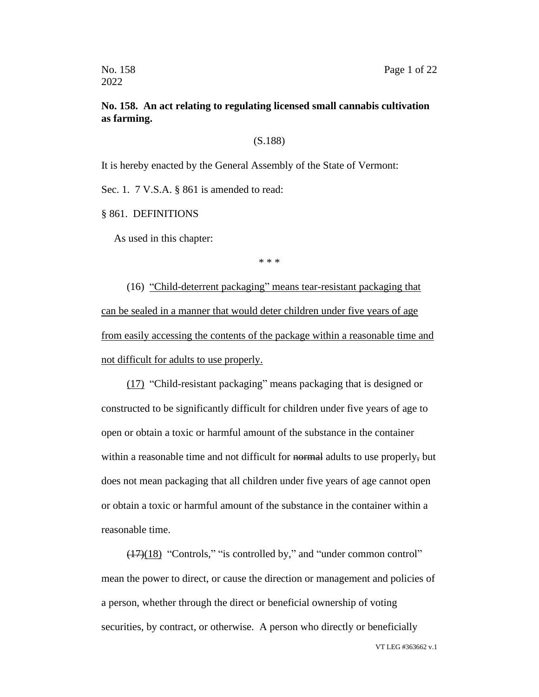## **No. 158. An act relating to regulating licensed small cannabis cultivation as farming.**

#### (S.188)

It is hereby enacted by the General Assembly of the State of Vermont:

Sec. 1. 7 V.S.A. § 861 is amended to read:

§ 861. DEFINITIONS

As used in this chapter:

\* \* \*

(16) "Child-deterrent packaging" means tear-resistant packaging that can be sealed in a manner that would deter children under five years of age from easily accessing the contents of the package within a reasonable time and not difficult for adults to use properly.

(17) "Child-resistant packaging" means packaging that is designed or constructed to be significantly difficult for children under five years of age to open or obtain a toxic or harmful amount of the substance in the container within a reasonable time and not difficult for normal adults to use properly, but does not mean packaging that all children under five years of age cannot open or obtain a toxic or harmful amount of the substance in the container within a reasonable time.

 $(17)(18)$  "Controls," "is controlled by," and "under common control" mean the power to direct, or cause the direction or management and policies of a person, whether through the direct or beneficial ownership of voting securities, by contract, or otherwise. A person who directly or beneficially

VT LEG #363662 v.1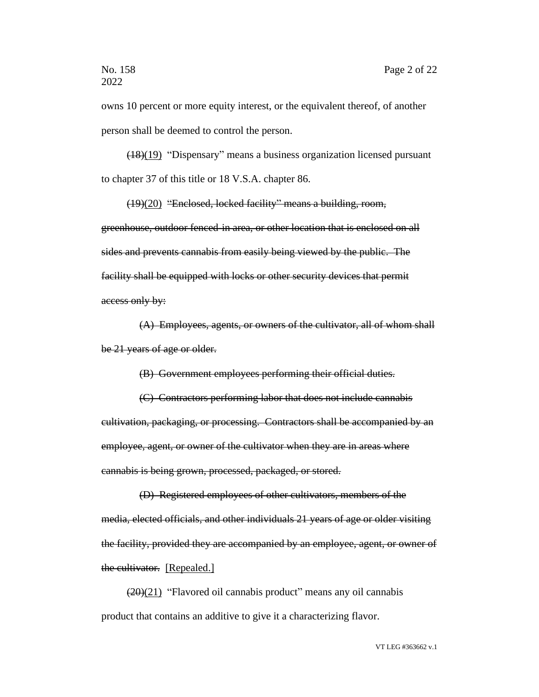owns 10 percent or more equity interest, or the equivalent thereof, of another person shall be deemed to control the person.

(18)(19) "Dispensary" means a business organization licensed pursuant to chapter 37 of this title or 18 V.S.A. chapter 86.

(19)(20) "Enclosed, locked facility" means a building, room, greenhouse, outdoor fenced-in area, or other location that is enclosed on all sides and prevents cannabis from easily being viewed by the public. The facility shall be equipped with locks or other security devices that permit access only by:

(A) Employees, agents, or owners of the cultivator, all of whom shall be 21 years of age or older.

(B) Government employees performing their official duties.

(C) Contractors performing labor that does not include cannabis cultivation, packaging, or processing. Contractors shall be accompanied by an employee, agent, or owner of the cultivator when they are in areas where cannabis is being grown, processed, packaged, or stored.

(D) Registered employees of other cultivators, members of the media, elected officials, and other individuals 21 years of age or older visiting the facility, provided they are accompanied by an employee, agent, or owner of the cultivator. [Repealed.]

 $(20)(21)$  "Flavored oil cannabis product" means any oil cannabis product that contains an additive to give it a characterizing flavor.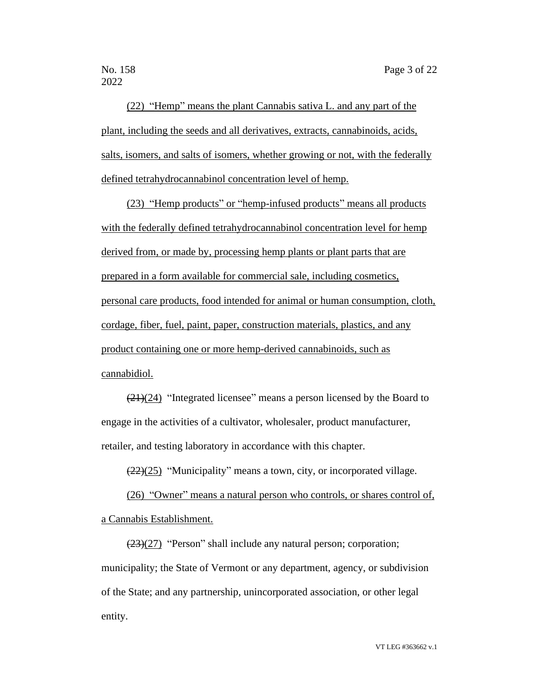(22) "Hemp" means the plant Cannabis sativa L. and any part of the plant, including the seeds and all derivatives, extracts, cannabinoids, acids, salts, isomers, and salts of isomers, whether growing or not, with the federally defined tetrahydrocannabinol concentration level of hemp.

(23) "Hemp products" or "hemp-infused products" means all products with the federally defined tetrahydrocannabinol concentration level for hemp derived from, or made by, processing hemp plants or plant parts that are prepared in a form available for commercial sale, including cosmetics, personal care products, food intended for animal or human consumption, cloth, cordage, fiber, fuel, paint, paper, construction materials, plastics, and any product containing one or more hemp-derived cannabinoids, such as cannabidiol.

(21)(24) "Integrated licensee" means a person licensed by the Board to engage in the activities of a cultivator, wholesaler, product manufacturer, retailer, and testing laboratory in accordance with this chapter.

 $(22)(25)$  "Municipality" means a town, city, or incorporated village.

(26) "Owner" means a natural person who controls, or shares control of, a Cannabis Establishment.

(23)(27) "Person" shall include any natural person; corporation; municipality; the State of Vermont or any department, agency, or subdivision of the State; and any partnership, unincorporated association, or other legal entity.

VT LEG #363662 v.1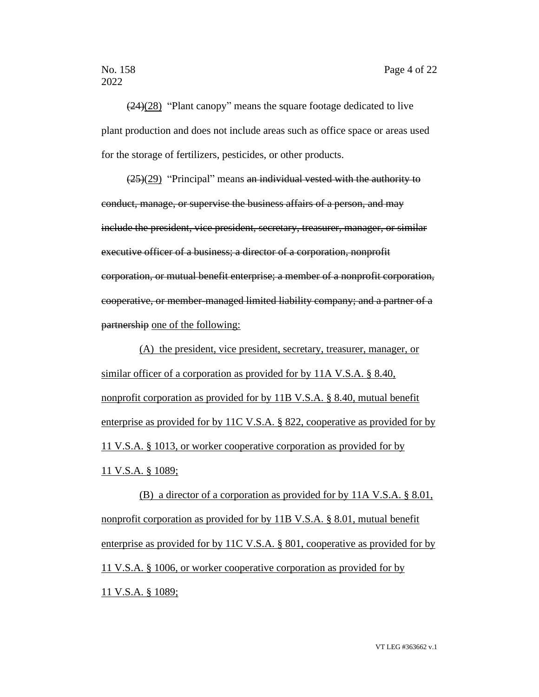(24)(28) "Plant canopy" means the square footage dedicated to live plant production and does not include areas such as office space or areas used for the storage of fertilizers, pesticides, or other products.

 $(25)(29)$  "Principal" means an individual vested with the authority to conduct, manage, or supervise the business affairs of a person, and may include the president, vice president, secretary, treasurer, manager, or similar executive officer of a business; a director of a corporation, nonprofit corporation, or mutual benefit enterprise; a member of a nonprofit corporation, cooperative, or member-managed limited liability company; and a partner of a partnership one of the following:

(A) the president, vice president, secretary, treasurer, manager, or similar officer of a corporation as provided for by 11A V.S.A. § 8.40, nonprofit corporation as provided for by 11B V.S.A. § 8.40, mutual benefit enterprise as provided for by 11C V.S.A. § 822, cooperative as provided for by 11 V.S.A. § 1013, or worker cooperative corporation as provided for by 11 V.S.A. § 1089;

(B) a director of a corporation as provided for by 11A V.S.A. § 8.01, nonprofit corporation as provided for by 11B V.S.A. § 8.01, mutual benefit enterprise as provided for by 11C V.S.A. § 801, cooperative as provided for by 11 V.S.A. § 1006, or worker cooperative corporation as provided for by 11 V.S.A. § 1089;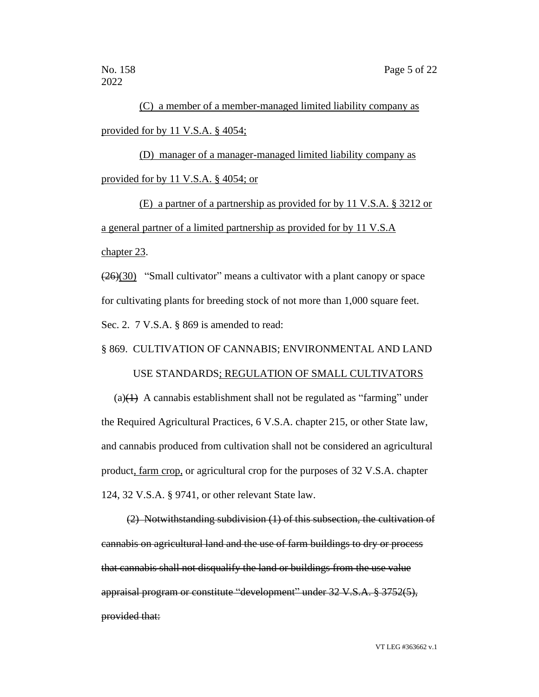(C) a member of a member-managed limited liability company as provided for by 11 V.S.A. § 4054;

(D) manager of a manager-managed limited liability company as provided for by 11 V.S.A. § 4054; or

(E) a partner of a partnership as provided for by 11 V.S.A. § 3212 or a general partner of a limited partnership as provided for by 11 V.S.A chapter 23.

(26)(30) "Small cultivator" means a cultivator with a plant canopy or space for cultivating plants for breeding stock of not more than 1,000 square feet. Sec. 2. 7 V.S.A. § 869 is amended to read:

§ 869. CULTIVATION OF CANNABIS; ENVIRONMENTAL AND LAND

#### USE STANDARDS; REGULATION OF SMALL CULTIVATORS

(a) $(1)$  A cannabis establishment shall not be regulated as "farming" under the Required Agricultural Practices, 6 V.S.A. chapter 215, or other State law, and cannabis produced from cultivation shall not be considered an agricultural product, farm crop, or agricultural crop for the purposes of 32 V.S.A. chapter 124, 32 V.S.A. § 9741, or other relevant State law.

(2) Notwithstanding subdivision (1) of this subsection, the cultivation of cannabis on agricultural land and the use of farm buildings to dry or process that cannabis shall not disqualify the land or buildings from the use value appraisal program or constitute "development" under 32 V.S.A. § 3752(5), provided that: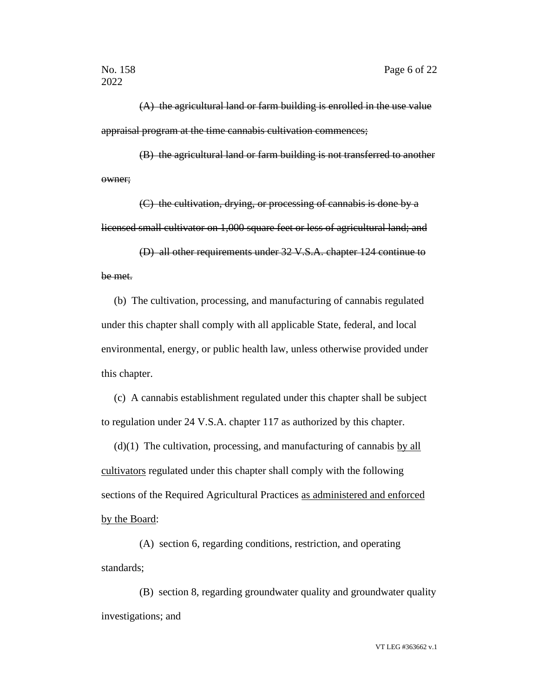(A) the agricultural land or farm building is enrolled in the use value appraisal program at the time cannabis cultivation commences;

(B) the agricultural land or farm building is not transferred to another owner;

(C) the cultivation, drying, or processing of cannabis is done by a licensed small cultivator on 1,000 square feet or less of agricultural land; and

(D) all other requirements under 32 V.S.A. chapter 124 continue to be met.

(b) The cultivation, processing, and manufacturing of cannabis regulated under this chapter shall comply with all applicable State, federal, and local environmental, energy, or public health law, unless otherwise provided under this chapter.

(c) A cannabis establishment regulated under this chapter shall be subject to regulation under 24 V.S.A. chapter 117 as authorized by this chapter.

(d)(1) The cultivation, processing, and manufacturing of cannabis by all cultivators regulated under this chapter shall comply with the following sections of the Required Agricultural Practices as administered and enforced by the Board:

(A) section 6, regarding conditions, restriction, and operating standards;

(B) section 8, regarding groundwater quality and groundwater quality investigations; and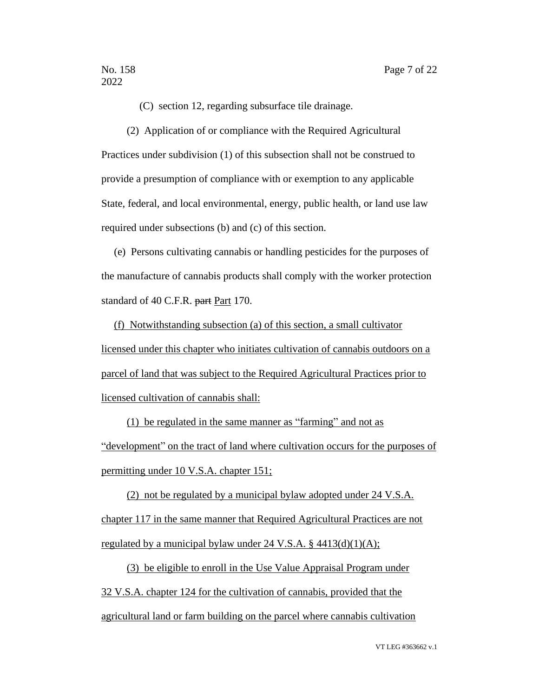(C) section 12, regarding subsurface tile drainage.

(2) Application of or compliance with the Required Agricultural Practices under subdivision (1) of this subsection shall not be construed to provide a presumption of compliance with or exemption to any applicable State, federal, and local environmental, energy, public health, or land use law required under subsections (b) and (c) of this section.

(e) Persons cultivating cannabis or handling pesticides for the purposes of the manufacture of cannabis products shall comply with the worker protection standard of 40 C.F.R. part Part 170.

(f) Notwithstanding subsection (a) of this section, a small cultivator licensed under this chapter who initiates cultivation of cannabis outdoors on a parcel of land that was subject to the Required Agricultural Practices prior to licensed cultivation of cannabis shall:

(1) be regulated in the same manner as "farming" and not as "development" on the tract of land where cultivation occurs for the purposes of permitting under 10 V.S.A. chapter 151;

(2) not be regulated by a municipal bylaw adopted under 24 V.S.A. chapter 117 in the same manner that Required Agricultural Practices are not regulated by a municipal bylaw under  $24 \text{ V.S.A. }$ §  $4413\text{ (d)}(1)(\text{A)}$ ;

(3) be eligible to enroll in the Use Value Appraisal Program under 32 V.S.A. chapter 124 for the cultivation of cannabis, provided that the agricultural land or farm building on the parcel where cannabis cultivation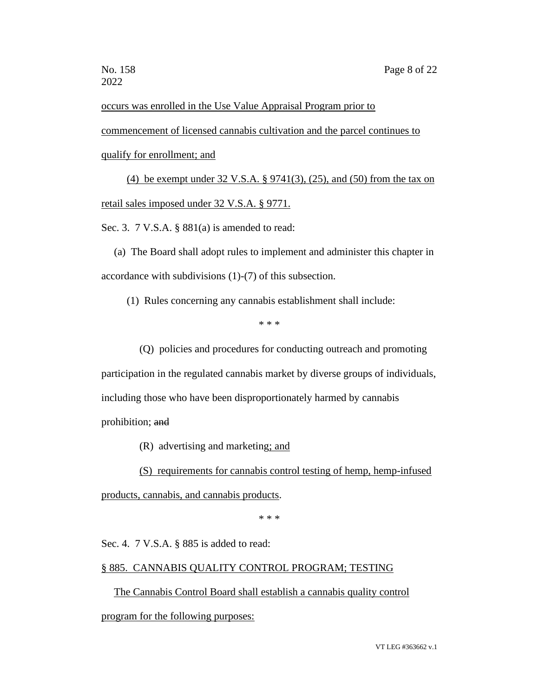occurs was enrolled in the Use Value Appraisal Program prior to

commencement of licensed cannabis cultivation and the parcel continues to qualify for enrollment; and

(4) be exempt under 32 V.S.A. § 9741(3), (25), and (50) from the tax on retail sales imposed under 32 V.S.A. § 9771.

Sec. 3. 7 V.S.A. § 881(a) is amended to read:

(a) The Board shall adopt rules to implement and administer this chapter in accordance with subdivisions (1)-(7) of this subsection.

(1) Rules concerning any cannabis establishment shall include:

\* \* \*

(Q) policies and procedures for conducting outreach and promoting participation in the regulated cannabis market by diverse groups of individuals, including those who have been disproportionately harmed by cannabis prohibition; and

(R) advertising and marketing; and

(S) requirements for cannabis control testing of hemp, hemp-infused

products, cannabis, and cannabis products.

\* \* \*

Sec. 4. 7 V.S.A. § 885 is added to read:

#### § 885. CANNABIS QUALITY CONTROL PROGRAM; TESTING

The Cannabis Control Board shall establish a cannabis quality control program for the following purposes: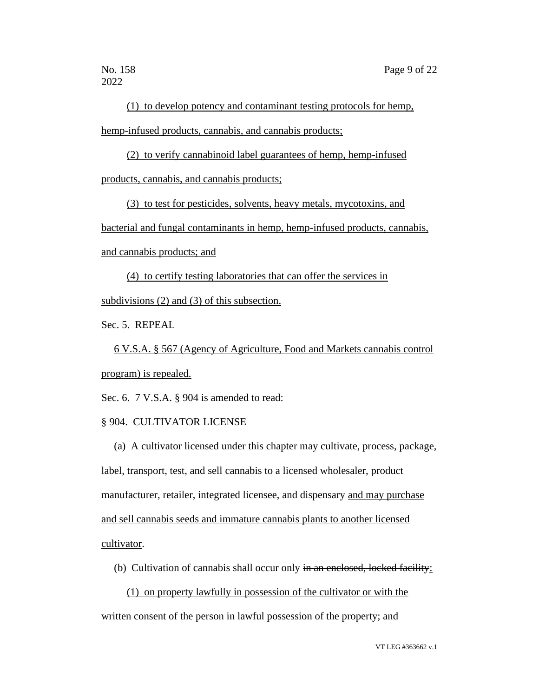(1) to develop potency and contaminant testing protocols for hemp, hemp-infused products, cannabis, and cannabis products;

(2) to verify cannabinoid label guarantees of hemp, hemp-infused products, cannabis, and cannabis products;

(3) to test for pesticides, solvents, heavy metals, mycotoxins, and bacterial and fungal contaminants in hemp, hemp-infused products, cannabis, and cannabis products; and

(4) to certify testing laboratories that can offer the services in subdivisions (2) and (3) of this subsection.

Sec. 5. REPEAL

6 V.S.A. § 567 (Agency of Agriculture, Food and Markets cannabis control program) is repealed.

Sec. 6. 7 V.S.A. § 904 is amended to read:

## § 904. CULTIVATOR LICENSE

(a) A cultivator licensed under this chapter may cultivate, process, package, label, transport, test, and sell cannabis to a licensed wholesaler, product manufacturer, retailer, integrated licensee, and dispensary and may purchase and sell cannabis seeds and immature cannabis plants to another licensed cultivator.

- (b) Cultivation of cannabis shall occur only in an enclosed, locked facility:
	- (1) on property lawfully in possession of the cultivator or with the

written consent of the person in lawful possession of the property; and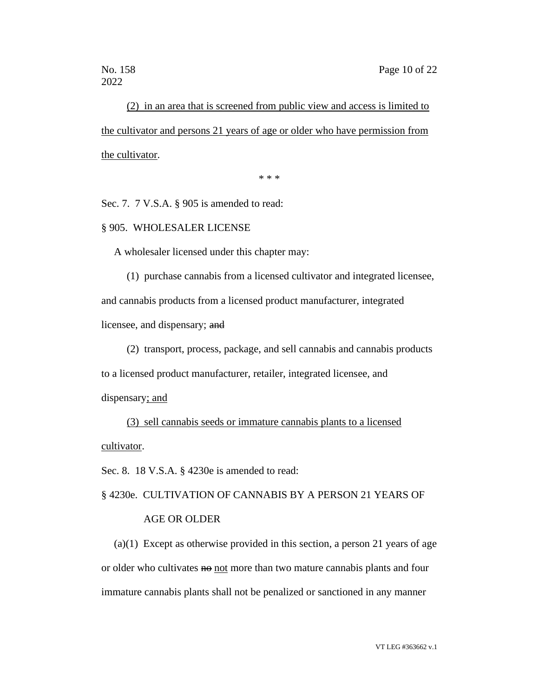(2) in an area that is screened from public view and access is limited to the cultivator and persons 21 years of age or older who have permission from the cultivator.

\* \* \*

Sec. 7. 7 V.S.A. § 905 is amended to read:

#### § 905. WHOLESALER LICENSE

A wholesaler licensed under this chapter may:

(1) purchase cannabis from a licensed cultivator and integrated licensee, and cannabis products from a licensed product manufacturer, integrated licensee, and dispensary; and

(2) transport, process, package, and sell cannabis and cannabis products to a licensed product manufacturer, retailer, integrated licensee, and dispensary; and

(3) sell cannabis seeds or immature cannabis plants to a licensed cultivator.

Sec. 8. 18 V.S.A. § 4230e is amended to read:

§ 4230e. CULTIVATION OF CANNABIS BY A PERSON 21 YEARS OF

## AGE OR OLDER

(a)(1) Except as otherwise provided in this section, a person 21 years of age or older who cultivates not more than two mature cannabis plants and four immature cannabis plants shall not be penalized or sanctioned in any manner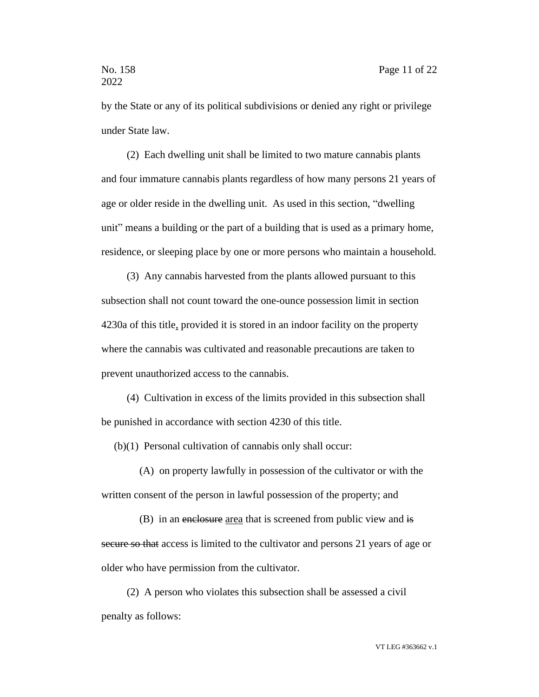by the State or any of its political subdivisions or denied any right or privilege under State law.

(2) Each dwelling unit shall be limited to two mature cannabis plants and four immature cannabis plants regardless of how many persons 21 years of age or older reside in the dwelling unit. As used in this section, "dwelling unit" means a building or the part of a building that is used as a primary home, residence, or sleeping place by one or more persons who maintain a household.

(3) Any cannabis harvested from the plants allowed pursuant to this subsection shall not count toward the one-ounce possession limit in section 4230a of this title, provided it is stored in an indoor facility on the property where the cannabis was cultivated and reasonable precautions are taken to prevent unauthorized access to the cannabis.

(4) Cultivation in excess of the limits provided in this subsection shall be punished in accordance with section 4230 of this title.

(b)(1) Personal cultivation of cannabis only shall occur:

(A) on property lawfully in possession of the cultivator or with the written consent of the person in lawful possession of the property; and

(B) in an enclosure area that is screened from public view and is secure so that access is limited to the cultivator and persons 21 years of age or older who have permission from the cultivator.

(2) A person who violates this subsection shall be assessed a civil penalty as follows: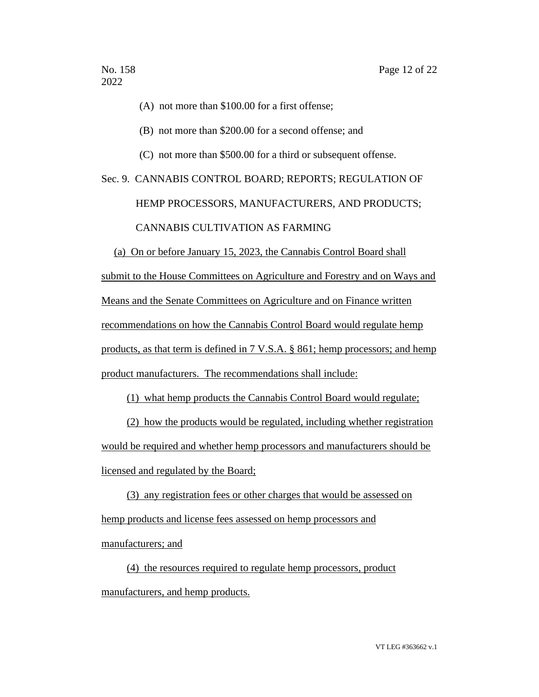(A) not more than \$100.00 for a first offense;

(B) not more than \$200.00 for a second offense; and

(C) not more than \$500.00 for a third or subsequent offense.

## Sec. 9. CANNABIS CONTROL BOARD; REPORTS; REGULATION OF HEMP PROCESSORS, MANUFACTURERS, AND PRODUCTS; CANNABIS CULTIVATION AS FARMING

(a) On or before January 15, 2023, the Cannabis Control Board shall submit to the House Committees on Agriculture and Forestry and on Ways and Means and the Senate Committees on Agriculture and on Finance written recommendations on how the Cannabis Control Board would regulate hemp products, as that term is defined in 7 V.S.A. § 861; hemp processors; and hemp product manufacturers. The recommendations shall include:

(1) what hemp products the Cannabis Control Board would regulate;

(2) how the products would be regulated, including whether registration would be required and whether hemp processors and manufacturers should be licensed and regulated by the Board;

(3) any registration fees or other charges that would be assessed on hemp products and license fees assessed on hemp processors and manufacturers; and

(4) the resources required to regulate hemp processors, product manufacturers, and hemp products.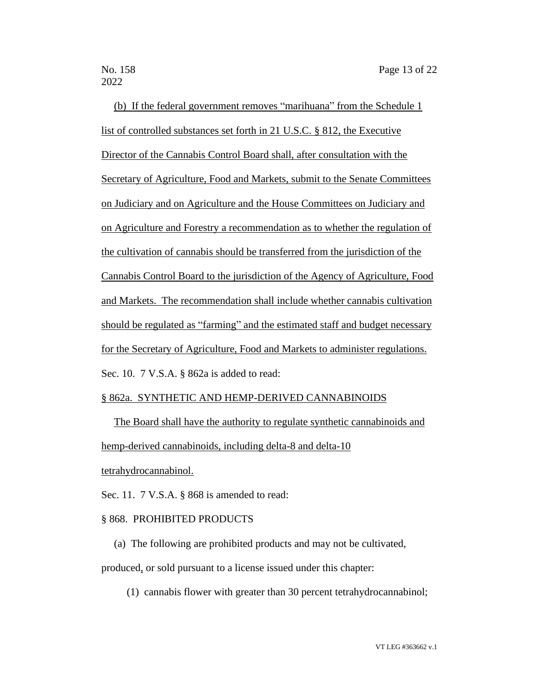(b) If the federal government removes "marihuana" from the Schedule 1 list of controlled substances set forth in 21 U.S.C. § 812, the Executive Director of the Cannabis Control Board shall, after consultation with the Secretary of Agriculture, Food and Markets, submit to the Senate Committees on Judiciary and on Agriculture and the House Committees on Judiciary and on Agriculture and Forestry a recommendation as to whether the regulation of the cultivation of cannabis should be transferred from the jurisdiction of the Cannabis Control Board to the jurisdiction of the Agency of Agriculture, Food and Markets. The recommendation shall include whether cannabis cultivation should be regulated as "farming" and the estimated staff and budget necessary for the Secretary of Agriculture, Food and Markets to administer regulations. Sec. 10. 7 V.S.A. § 862a is added to read:

## § 862a. SYNTHETIC AND HEMP-DERIVED CANNABINOIDS

The Board shall have the authority to regulate synthetic cannabinoids and hemp-derived cannabinoids, including delta-8 and delta-10

tetrahydrocannabinol.

Sec. 11. 7 V.S.A. § 868 is amended to read:

## § 868. PROHIBITED PRODUCTS

(a) The following are prohibited products and may not be cultivated,

produced, or sold pursuant to a license issued under this chapter:

(1) cannabis flower with greater than 30 percent tetrahydrocannabinol;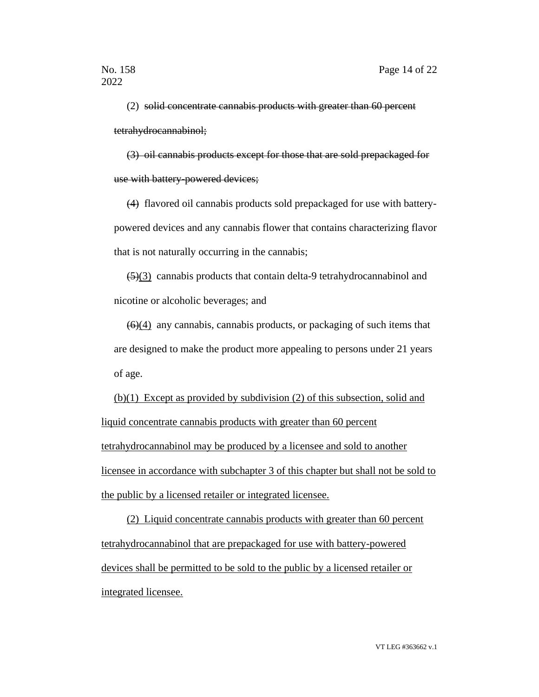(2) solid concentrate cannabis products with greater than 60 percent tetrahydrocannabinol;

(3) oil cannabis products except for those that are sold prepackaged for use with battery-powered devices;

(4) flavored oil cannabis products sold prepackaged for use with batterypowered devices and any cannabis flower that contains characterizing flavor that is not naturally occurring in the cannabis;

(5)(3) cannabis products that contain delta-9 tetrahydrocannabinol and nicotine or alcoholic beverages; and

 $(6)(4)$  any cannabis, cannabis products, or packaging of such items that are designed to make the product more appealing to persons under 21 years of age.

(b)(1) Except as provided by subdivision (2) of this subsection, solid and liquid concentrate cannabis products with greater than 60 percent tetrahydrocannabinol may be produced by a licensee and sold to another licensee in accordance with subchapter 3 of this chapter but shall not be sold to the public by a licensed retailer or integrated licensee.

(2) Liquid concentrate cannabis products with greater than 60 percent tetrahydrocannabinol that are prepackaged for use with battery-powered devices shall be permitted to be sold to the public by a licensed retailer or integrated licensee.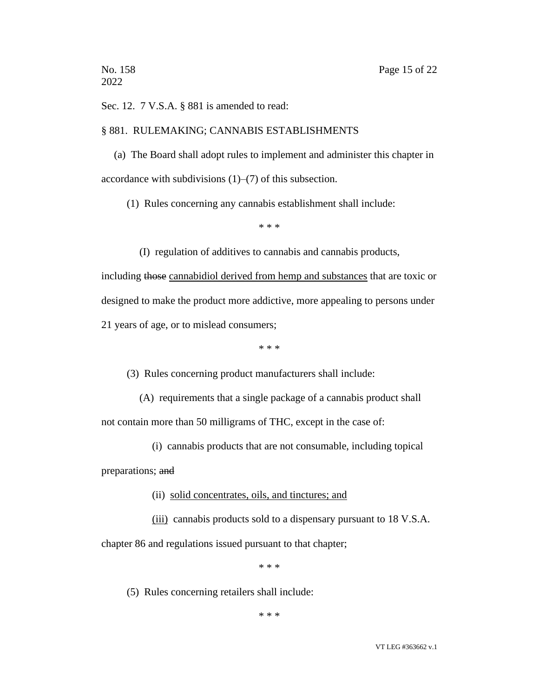Sec. 12. 7 V.S.A. § 881 is amended to read:

#### § 881. RULEMAKING; CANNABIS ESTABLISHMENTS

(a) The Board shall adopt rules to implement and administer this chapter in accordance with subdivisions  $(1)$ – $(7)$  of this subsection.

(1) Rules concerning any cannabis establishment shall include:

\* \* \*

(I) regulation of additives to cannabis and cannabis products,

including those cannabidiol derived from hemp and substances that are toxic or designed to make the product more addictive, more appealing to persons under 21 years of age, or to mislead consumers;

\* \* \*

(3) Rules concerning product manufacturers shall include:

(A) requirements that a single package of a cannabis product shall

not contain more than 50 milligrams of THC, except in the case of:

(i) cannabis products that are not consumable, including topical

preparations; and

- (ii) solid concentrates, oils, and tinctures; and
- (iii) cannabis products sold to a dispensary pursuant to 18 V.S.A.

chapter 86 and regulations issued pursuant to that chapter;

\* \* \*

(5) Rules concerning retailers shall include:

\* \* \*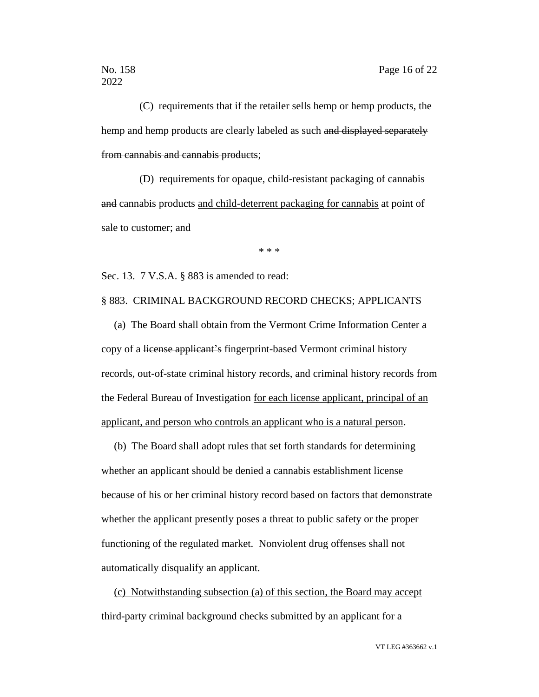(C) requirements that if the retailer sells hemp or hemp products, the hemp and hemp products are clearly labeled as such and displayed separately from cannabis and cannabis products;

(D) requirements for opaque, child-resistant packaging of cannabis and cannabis products and child-deterrent packaging for cannabis at point of sale to customer; and

\* \* \*

Sec. 13. 7 V.S.A. § 883 is amended to read:

## § 883. CRIMINAL BACKGROUND RECORD CHECKS; APPLICANTS

(a) The Board shall obtain from the Vermont Crime Information Center a copy of a license applicant's fingerprint-based Vermont criminal history records, out-of-state criminal history records, and criminal history records from the Federal Bureau of Investigation for each license applicant, principal of an applicant, and person who controls an applicant who is a natural person.

(b) The Board shall adopt rules that set forth standards for determining whether an applicant should be denied a cannabis establishment license because of his or her criminal history record based on factors that demonstrate whether the applicant presently poses a threat to public safety or the proper functioning of the regulated market. Nonviolent drug offenses shall not automatically disqualify an applicant.

(c) Notwithstanding subsection (a) of this section, the Board may accept third-party criminal background checks submitted by an applicant for a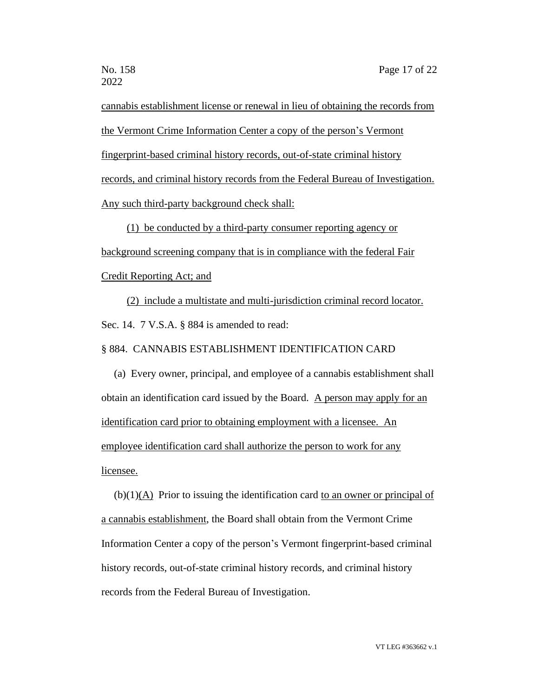cannabis establishment license or renewal in lieu of obtaining the records from the Vermont Crime Information Center a copy of the person's Vermont fingerprint-based criminal history records, out-of-state criminal history records, and criminal history records from the Federal Bureau of Investigation. Any such third-party background check shall:

(1) be conducted by a third-party consumer reporting agency or background screening company that is in compliance with the federal Fair Credit Reporting Act; and

(2) include a multistate and multi-jurisdiction criminal record locator. Sec. 14. 7 V.S.A. § 884 is amended to read:

#### § 884. CANNABIS ESTABLISHMENT IDENTIFICATION CARD

(a) Every owner, principal, and employee of a cannabis establishment shall obtain an identification card issued by the Board. A person may apply for an identification card prior to obtaining employment with a licensee. An employee identification card shall authorize the person to work for any licensee.

(b)(1)(A) Prior to issuing the identification card to an owner or principal of a cannabis establishment, the Board shall obtain from the Vermont Crime Information Center a copy of the person's Vermont fingerprint-based criminal history records, out-of-state criminal history records, and criminal history records from the Federal Bureau of Investigation.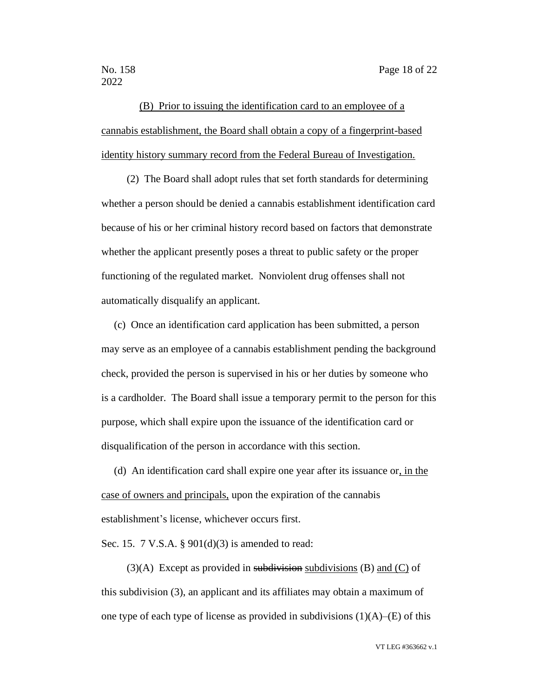(B) Prior to issuing the identification card to an employee of a cannabis establishment, the Board shall obtain a copy of a fingerprint-based identity history summary record from the Federal Bureau of Investigation.

(2) The Board shall adopt rules that set forth standards for determining whether a person should be denied a cannabis establishment identification card because of his or her criminal history record based on factors that demonstrate whether the applicant presently poses a threat to public safety or the proper functioning of the regulated market. Nonviolent drug offenses shall not automatically disqualify an applicant.

(c) Once an identification card application has been submitted, a person may serve as an employee of a cannabis establishment pending the background check, provided the person is supervised in his or her duties by someone who is a cardholder. The Board shall issue a temporary permit to the person for this purpose, which shall expire upon the issuance of the identification card or disqualification of the person in accordance with this section.

(d) An identification card shall expire one year after its issuance or, in the case of owners and principals, upon the expiration of the cannabis establishment's license, whichever occurs first.

Sec. 15. 7 V.S.A. § 901(d)(3) is amended to read:

 $(3)(A)$  Except as provided in subdivisions subdivisions (B) and (C) of this subdivision (3), an applicant and its affiliates may obtain a maximum of one type of each type of license as provided in subdivisions  $(1)(A)$ –(E) of this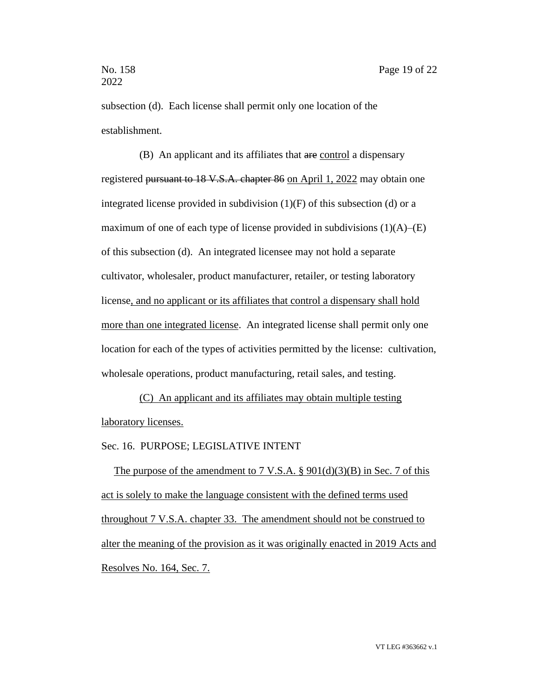subsection (d). Each license shall permit only one location of the establishment.

(B) An applicant and its affiliates that are control a dispensary registered pursuant to 18 V.S.A. chapter 86 on April 1, 2022 may obtain one integrated license provided in subdivision  $(1)(F)$  of this subsection (d) or a maximum of one of each type of license provided in subdivisions  $(1)(A)$ – $(E)$ of this subsection (d). An integrated licensee may not hold a separate cultivator, wholesaler, product manufacturer, retailer, or testing laboratory license, and no applicant or its affiliates that control a dispensary shall hold more than one integrated license. An integrated license shall permit only one location for each of the types of activities permitted by the license: cultivation, wholesale operations, product manufacturing, retail sales, and testing.

(C) An applicant and its affiliates may obtain multiple testing laboratory licenses.

Sec. 16. PURPOSE; LEGISLATIVE INTENT

The purpose of the amendment to 7 V.S.A.  $\S$  901(d)(3)(B) in Sec. 7 of this act is solely to make the language consistent with the defined terms used throughout 7 V.S.A. chapter 33. The amendment should not be construed to alter the meaning of the provision as it was originally enacted in 2019 Acts and Resolves No. 164, Sec. 7.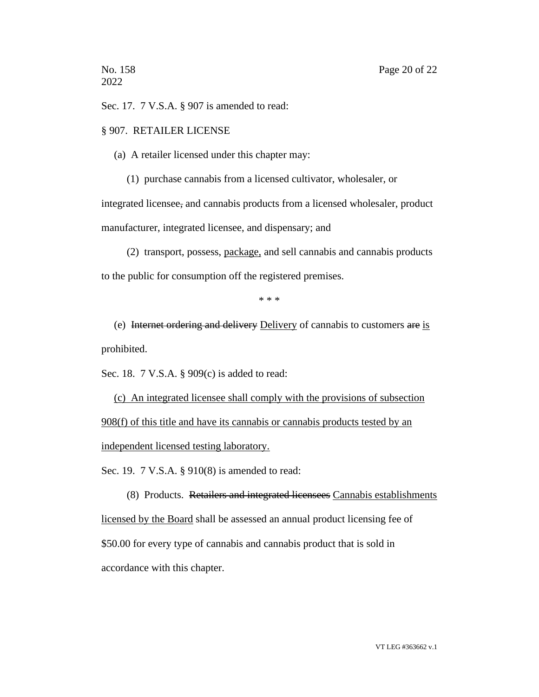Sec. 17. 7 V.S.A. § 907 is amended to read:

## § 907. RETAILER LICENSE

(a) A retailer licensed under this chapter may:

(1) purchase cannabis from a licensed cultivator, wholesaler, or

integrated licensee, and cannabis products from a licensed wholesaler, product manufacturer, integrated licensee, and dispensary; and

(2) transport, possess, package, and sell cannabis and cannabis products to the public for consumption off the registered premises.

\* \* \*

(e) Internet ordering and delivery Delivery of cannabis to customers are is prohibited.

Sec. 18. 7 V.S.A. § 909(c) is added to read:

(c) An integrated licensee shall comply with the provisions of subsection 908(f) of this title and have its cannabis or cannabis products tested by an independent licensed testing laboratory.

Sec. 19. 7 V.S.A. § 910(8) is amended to read:

(8) Products. Retailers and integrated licensees Cannabis establishments licensed by the Board shall be assessed an annual product licensing fee of \$50.00 for every type of cannabis and cannabis product that is sold in accordance with this chapter.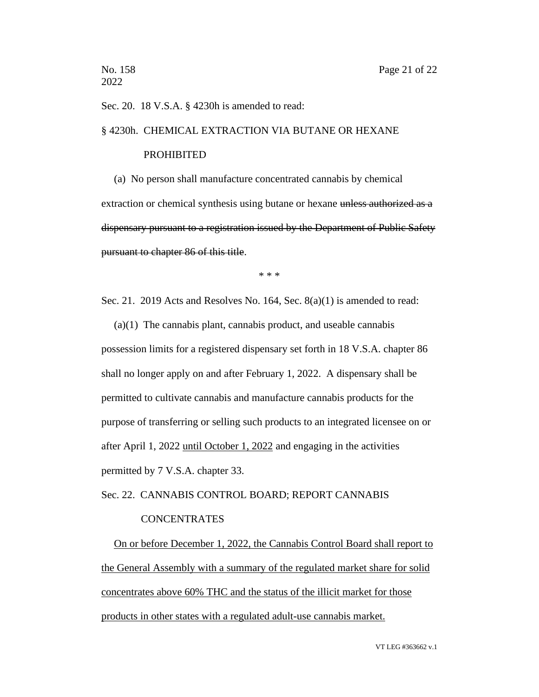#### Sec. 20. 18 V.S.A. § 4230h is amended to read:

#### § 4230h. CHEMICAL EXTRACTION VIA BUTANE OR HEXANE

#### PROHIBITED

(a) No person shall manufacture concentrated cannabis by chemical extraction or chemical synthesis using butane or hexane unless authorized as a dispensary pursuant to a registration issued by the Department of Public Safety pursuant to chapter 86 of this title.

\* \* \*

Sec. 21. 2019 Acts and Resolves No. 164, Sec. 8(a)(1) is amended to read:

(a)(1) The cannabis plant, cannabis product, and useable cannabis possession limits for a registered dispensary set forth in 18 V.S.A. chapter 86 shall no longer apply on and after February 1, 2022. A dispensary shall be permitted to cultivate cannabis and manufacture cannabis products for the purpose of transferring or selling such products to an integrated licensee on or after April 1, 2022 until October 1, 2022 and engaging in the activities permitted by 7 V.S.A. chapter 33.

Sec. 22. CANNABIS CONTROL BOARD; REPORT CANNABIS

#### **CONCENTRATES**

On or before December 1, 2022, the Cannabis Control Board shall report to the General Assembly with a summary of the regulated market share for solid concentrates above 60% THC and the status of the illicit market for those products in other states with a regulated adult-use cannabis market.